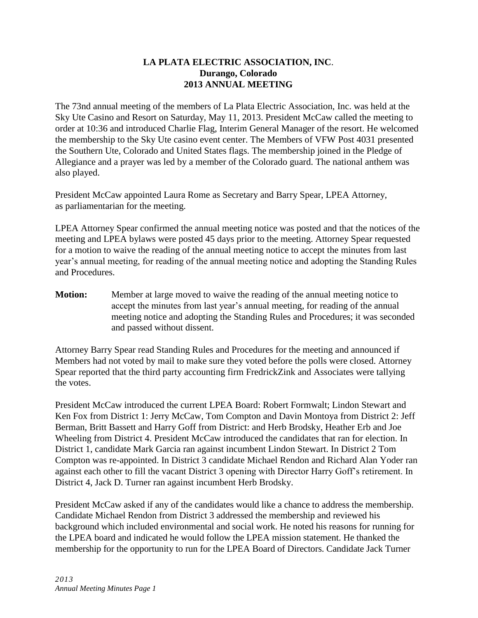## **LA PLATA ELECTRIC ASSOCIATION, INC**. **Durango, Colorado 2013 ANNUAL MEETING**

The 73nd annual meeting of the members of La Plata Electric Association, Inc. was held at the Sky Ute Casino and Resort on Saturday, May 11, 2013. President McCaw called the meeting to order at 10:36 and introduced Charlie Flag, Interim General Manager of the resort. He welcomed the membership to the Sky Ute casino event center. The Members of VFW Post 4031 presented the Southern Ute, Colorado and United States flags. The membership joined in the Pledge of Allegiance and a prayer was led by a member of the Colorado guard. The national anthem was also played.

President McCaw appointed Laura Rome as Secretary and Barry Spear, LPEA Attorney, as parliamentarian for the meeting.

LPEA Attorney Spear confirmed the annual meeting notice was posted and that the notices of the meeting and LPEA bylaws were posted 45 days prior to the meeting. Attorney Spear requested for a motion to waive the reading of the annual meeting notice to accept the minutes from last year's annual meeting, for reading of the annual meeting notice and adopting the Standing Rules and Procedures.

**Motion:** Member at large moved to waive the reading of the annual meeting notice to accept the minutes from last year's annual meeting, for reading of the annual meeting notice and adopting the Standing Rules and Procedures; it was seconded and passed without dissent.

Attorney Barry Spear read Standing Rules and Procedures for the meeting and announced if Members had not voted by mail to make sure they voted before the polls were closed. Attorney Spear reported that the third party accounting firm FredrickZink and Associates were tallying the votes.

President McCaw introduced the current LPEA Board: Robert Formwalt; Lindon Stewart and Ken Fox from District 1: Jerry McCaw, Tom Compton and Davin Montoya from District 2: Jeff Berman, Britt Bassett and Harry Goff from District: and Herb Brodsky, Heather Erb and Joe Wheeling from District 4. President McCaw introduced the candidates that ran for election. In District 1, candidate Mark Garcia ran against incumbent Lindon Stewart. In District 2 Tom Compton was re-appointed. In District 3 candidate Michael Rendon and Richard Alan Yoder ran against each other to fill the vacant District 3 opening with Director Harry Goff's retirement. In District 4, Jack D. Turner ran against incumbent Herb Brodsky.

President McCaw asked if any of the candidates would like a chance to address the membership. Candidate Michael Rendon from District 3 addressed the membership and reviewed his background which included environmental and social work. He noted his reasons for running for the LPEA board and indicated he would follow the LPEA mission statement. He thanked the membership for the opportunity to run for the LPEA Board of Directors. Candidate Jack Turner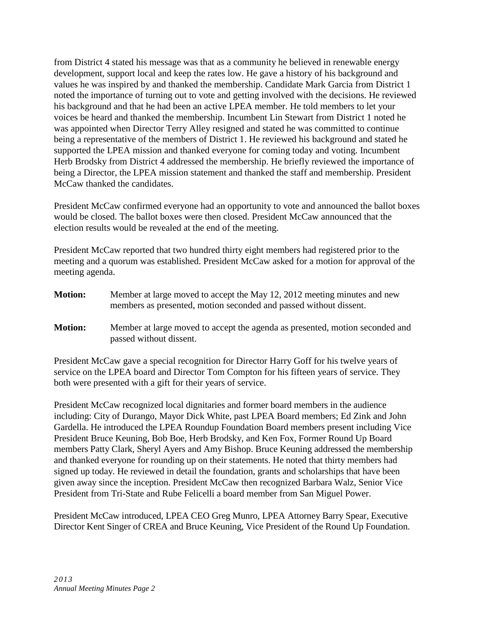from District 4 stated his message was that as a community he believed in renewable energy development, support local and keep the rates low. He gave a history of his background and values he was inspired by and thanked the membership. Candidate Mark Garcia from District 1 noted the importance of turning out to vote and getting involved with the decisions. He reviewed his background and that he had been an active LPEA member. He told members to let your voices be heard and thanked the membership. Incumbent Lin Stewart from District 1 noted he was appointed when Director Terry Alley resigned and stated he was committed to continue being a representative of the members of District 1. He reviewed his background and stated he supported the LPEA mission and thanked everyone for coming today and voting. Incumbent Herb Brodsky from District 4 addressed the membership. He briefly reviewed the importance of being a Director, the LPEA mission statement and thanked the staff and membership. President McCaw thanked the candidates.

President McCaw confirmed everyone had an opportunity to vote and announced the ballot boxes would be closed. The ballot boxes were then closed. President McCaw announced that the election results would be revealed at the end of the meeting.

President McCaw reported that two hundred thirty eight members had registered prior to the meeting and a quorum was established. President McCaw asked for a motion for approval of the meeting agenda.

- **Motion:** Member at large moved to accept the May 12, 2012 meeting minutes and new members as presented, motion seconded and passed without dissent.
- **Motion:** Member at large moved to accept the agenda as presented, motion seconded and passed without dissent.

President McCaw gave a special recognition for Director Harry Goff for his twelve years of service on the LPEA board and Director Tom Compton for his fifteen years of service. They both were presented with a gift for their years of service.

President McCaw recognized local dignitaries and former board members in the audience including: City of Durango, Mayor Dick White, past LPEA Board members; Ed Zink and John Gardella. He introduced the LPEA Roundup Foundation Board members present including Vice President Bruce Keuning, Bob Boe, Herb Brodsky, and Ken Fox, Former Round Up Board members Patty Clark, Sheryl Ayers and Amy Bishop. Bruce Keuning addressed the membership and thanked everyone for rounding up on their statements. He noted that thirty members had signed up today. He reviewed in detail the foundation, grants and scholarships that have been given away since the inception. President McCaw then recognized Barbara Walz, Senior Vice President from Tri-State and Rube Felicelli a board member from San Miguel Power.

President McCaw introduced, LPEA CEO Greg Munro, LPEA Attorney Barry Spear, Executive Director Kent Singer of CREA and Bruce Keuning, Vice President of the Round Up Foundation.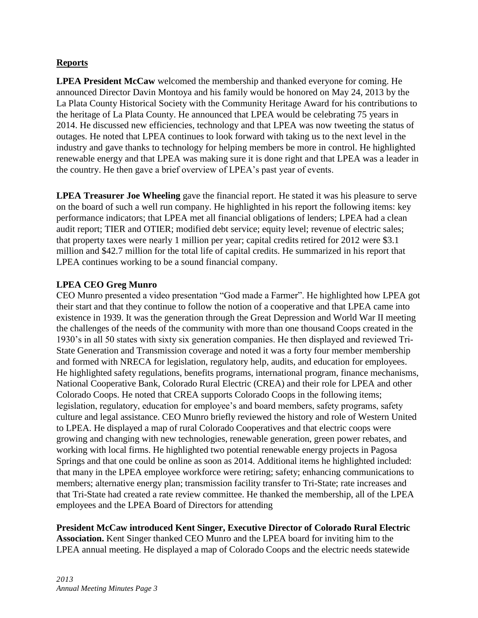## **Reports**

**LPEA President McCaw** welcomed the membership and thanked everyone for coming. He announced Director Davin Montoya and his family would be honored on May 24, 2013 by the La Plata County Historical Society with the Community Heritage Award for his contributions to the heritage of La Plata County. He announced that LPEA would be celebrating 75 years in 2014. He discussed new efficiencies, technology and that LPEA was now tweeting the status of outages. He noted that LPEA continues to look forward with taking us to the next level in the industry and gave thanks to technology for helping members be more in control. He highlighted renewable energy and that LPEA was making sure it is done right and that LPEA was a leader in the country. He then gave a brief overview of LPEA's past year of events.

**LPEA Treasurer Joe Wheeling** gave the financial report. He stated it was his pleasure to serve on the board of such a well run company. He highlighted in his report the following items: key performance indicators; that LPEA met all financial obligations of lenders; LPEA had a clean audit report; TIER and OTIER; modified debt service; equity level; revenue of electric sales; that property taxes were nearly 1 million per year; capital credits retired for 2012 were \$3.1 million and \$42.7 million for the total life of capital credits. He summarized in his report that LPEA continues working to be a sound financial company.

## **LPEA CEO Greg Munro**

CEO Munro presented a video presentation "God made a Farmer". He highlighted how LPEA got their start and that they continue to follow the notion of a cooperative and that LPEA came into existence in 1939. It was the generation through the Great Depression and World War II meeting the challenges of the needs of the community with more than one thousand Coops created in the 1930's in all 50 states with sixty six generation companies. He then displayed and reviewed Tri-State Generation and Transmission coverage and noted it was a forty four member membership and formed with NRECA for legislation, regulatory help, audits, and education for employees. He highlighted safety regulations, benefits programs, international program, finance mechanisms, National Cooperative Bank, Colorado Rural Electric (CREA) and their role for LPEA and other Colorado Coops. He noted that CREA supports Colorado Coops in the following items; legislation, regulatory, education for employee's and board members, safety programs, safety culture and legal assistance. CEO Munro briefly reviewed the history and role of Western United to LPEA. He displayed a map of rural Colorado Cooperatives and that electric coops were growing and changing with new technologies, renewable generation, green power rebates, and working with local firms. He highlighted two potential renewable energy projects in Pagosa Springs and that one could be online as soon as 2014. Additional items he highlighted included: that many in the LPEA employee workforce were retiring; safety; enhancing communications to members; alternative energy plan; transmission facility transfer to Tri-State; rate increases and that Tri-State had created a rate review committee. He thanked the membership, all of the LPEA employees and the LPEA Board of Directors for attending

# **President McCaw introduced Kent Singer, Executive Director of Colorado Rural Electric**

**Association.** Kent Singer thanked CEO Munro and the LPEA board for inviting him to the LPEA annual meeting. He displayed a map of Colorado Coops and the electric needs statewide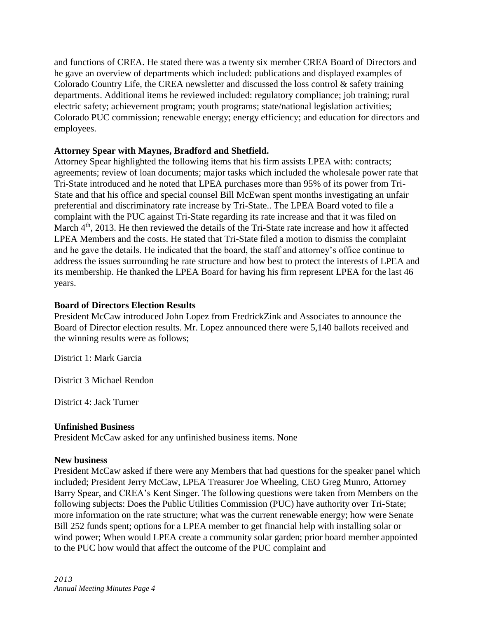and functions of CREA. He stated there was a twenty six member CREA Board of Directors and he gave an overview of departments which included: publications and displayed examples of Colorado Country Life, the CREA newsletter and discussed the loss control  $\&$  safety training departments. Additional items he reviewed included: regulatory compliance; job training; rural electric safety; achievement program; youth programs; state/national legislation activities; Colorado PUC commission; renewable energy; energy efficiency; and education for directors and employees.

#### **Attorney Spear with Maynes, Bradford and Shetfield.**

Attorney Spear highlighted the following items that his firm assists LPEA with: contracts; agreements; review of loan documents; major tasks which included the wholesale power rate that Tri-State introduced and he noted that LPEA purchases more than 95% of its power from Tri-State and that his office and special counsel Bill McEwan spent months investigating an unfair preferential and discriminatory rate increase by Tri-State.. The LPEA Board voted to file a complaint with the PUC against Tri-State regarding its rate increase and that it was filed on March 4<sup>th</sup>, 2013. He then reviewed the details of the Tri-State rate increase and how it affected LPEA Members and the costs. He stated that Tri-State filed a motion to dismiss the complaint and he gave the details. He indicated that the board, the staff and attorney's office continue to address the issues surrounding he rate structure and how best to protect the interests of LPEA and its membership. He thanked the LPEA Board for having his firm represent LPEA for the last 46 years.

#### **Board of Directors Election Results**

President McCaw introduced John Lopez from FredrickZink and Associates to announce the Board of Director election results. Mr. Lopez announced there were 5,140 ballots received and the winning results were as follows;

District 1: Mark Garcia

District 3 Michael Rendon

District 4: Jack Turner

### **Unfinished Business**

President McCaw asked for any unfinished business items. None

#### **New business**

President McCaw asked if there were any Members that had questions for the speaker panel which included; President Jerry McCaw, LPEA Treasurer Joe Wheeling, CEO Greg Munro, Attorney Barry Spear, and CREA's Kent Singer. The following questions were taken from Members on the following subjects: Does the Public Utilities Commission (PUC) have authority over Tri-State; more information on the rate structure; what was the current renewable energy; how were Senate Bill 252 funds spent; options for a LPEA member to get financial help with installing solar or wind power; When would LPEA create a community solar garden; prior board member appointed to the PUC how would that affect the outcome of the PUC complaint and